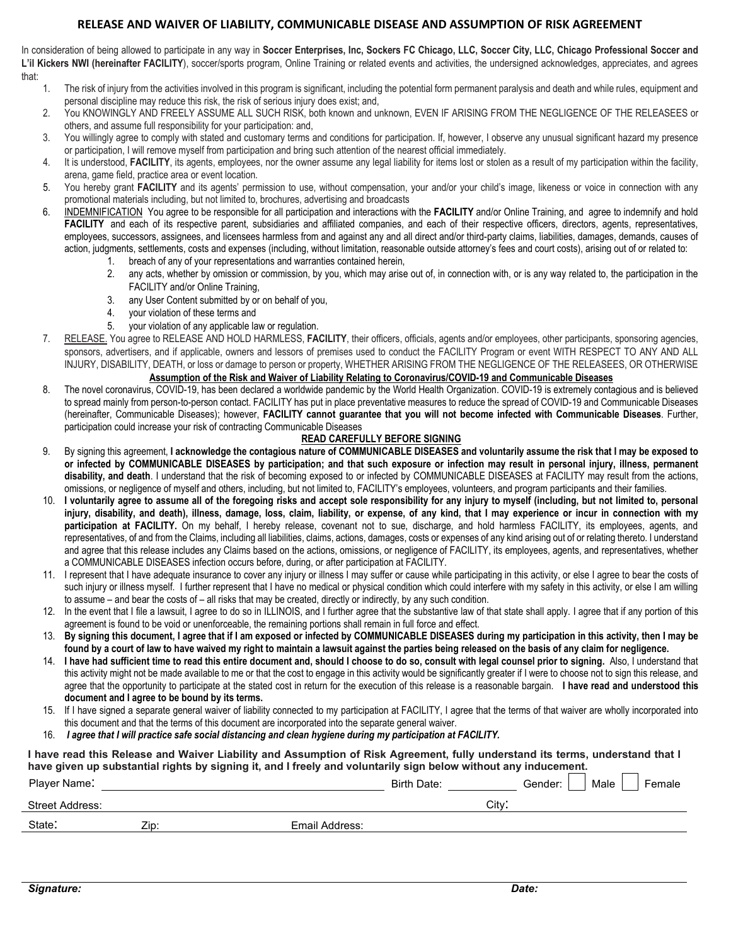### **RELEASE AND WAIVER OF LIABILITY, COMMUNICABLE DISEASE AND ASSUMPTION OF RISK AGREEMENT**

In consideration of being allowed to participate in any way in **Soccer Enterprises, Inc, Sockers FC Chicago, LLC, Soccer City, LLC, Chicago Professional Soccer and L'il Kickers NWI (hereinafter FACILITY**), soccer/sports program, Online Training or related events and activities, the undersigned acknowledges, appreciates, and agrees that:

- 1. The risk of injury from the activities involved in this program is significant, including the potential form permanent paralysis and death and while rules, equipment and personal discipline may reduce this risk, the risk of serious injury does exist; and,
- 2. You KNOWINGLY AND FREELY ASSUME ALL SUCH RISK, both known and unknown, EVEN IF ARISING FROM THE NEGLIGENCE OF THE RELEASEES or others, and assume full responsibility for your participation: and,
- 3. You willingly agree to comply with stated and customary terms and conditions for participation. If, however, I observe any unusual significant hazard my presence or participation, I will remove myself from participation and bring such attention of the nearest official immediately.
- 4. It is understood, **FACILITY**, its agents, employees, nor the owner assume any legal liability for items lost or stolen as a result of my participation within the facility, arena, game field, practice area or event location.
- 5. You hereby grant **FACILITY** and its agents' permission to use, without compensation, your and/or your child's image, likeness or voice in connection with any promotional materials including, but not limited to, brochures, advertising and broadcasts
- 6. INDEMNIFICATION You agree to be responsible for all participation and interactions with the **FACILITY** and/or Online Training, and agree to indemnify and hold FACILITY and each of its respective parent, subsidiaries and affiliated companies, and each of their respective officers, directors, agents, representatives, employees, successors, assignees, and licensees harmless from and against any and all direct and/or third-party claims, liabilities, damages, demands, causes of action, judgments, settlements, costs and expenses (including, without limitation, reasonable outside attorney's fees and court costs), arising out of or related to:
	- 1. breach of any of your representations and warranties contained herein,
	- 2. any acts, whether by omission or commission, by you, which may arise out of, in connection with, or is any way related to, the participation in the FACILITY and/or Online Training,
	- 3. any User Content submitted by or on behalf of you,
	- 4. your violation of these terms and
	- 5. your violation of any applicable law or regulation.
- 7. RELEASE. You agree to RELEASE AND HOLD HARMLESS, **FACILITY**, their officers, officials, agents and/or employees, other participants, sponsoring agencies, sponsors, advertisers, and if applicable, owners and lessors of premises used to conduct the FACILITY Program or event WITH RESPECT TO ANY AND ALL INJURY, DISABILITY, DEATH, or loss or damage to person or property, WHETHER ARISING FROM THE NEGLIGENCE OF THE RELEASEES, OR OTHERWISE **Assumption of the Risk and Waiver of Liability Relating to Coronavirus/COVID-19 and Communicable Diseases**
- 8. The novel coronavirus, COVID-19, has been declared a worldwide pandemic by the World Health Organization. COVID-19 is extremely contagious and is believed to spread mainly from person-to-person contact. FACILITY has put in place preventative measures to reduce the spread of COVID-19 and Communicable Diseases (hereinafter, Communicable Diseases); however, **FACILITY cannot guarantee that you will not become infected with Communicable Diseases**. Further, participation could increase your risk of contracting Communicable Diseases

### **READ CAREFULLY BEFORE SIGNING**

- 9. By signing this agreement, **I acknowledge the contagious nature of COMMUNICABLE DISEASES and voluntarily assume the risk that I may be exposed to or infected by COMMUNICABLE DISEASES by participation; and that such exposure or infection may result in personal injury, illness, permanent disability, and death**. I understand that the risk of becoming exposed to or infected by COMMUNICABLE DISEASES at FACILITY may result from the actions, omissions, or negligence of myself and others, including, but not limited to, FACILITY's employees, volunteers, and program participants and their families.
- 10. **I voluntarily agree to assume all of the foregoing risks and accept sole responsibility for any injury to myself (including, but not limited to, personal injury, disability, and death), illness, damage, loss, claim, liability, or expense, of any kind, that I may experience or incur in connection with my**  participation at FACILITY. On my behalf, I hereby release, covenant not to sue, discharge, and hold harmless FACILITY, its employees, agents, and representatives, of and from the Claims, including all liabilities, claims, actions, damages, costs or expenses of any kind arising out of or relating thereto. I understand and agree that this release includes any Claims based on the actions, omissions, or negligence of FACILITY, its employees, agents, and representatives, whether a COMMUNICABLE DISEASES infection occurs before, during, or after participation at FACILITY.
- 11. I represent that I have adequate insurance to cover any injury or illness I may suffer or cause while participating in this activity, or else I agree to bear the costs of such injury or illness myself. I further represent that I have no medical or physical condition which could interfere with my safety in this activity, or else I am willing to assume – and bear the costs of – all risks that may be created, directly or indirectly, by any such condition.
- 12. In the event that I file a lawsuit, I agree to do so in ILLINOIS, and I further agree that the substantive law of that state shall apply. I agree that if any portion of this agreement is found to be void or unenforceable, the remaining portions shall remain in full force and effect.
- 13. **By signing this document, I agree that if I am exposed or infected by COMMUNICABLE DISEASES during my participation in this activity, then I may be found by a court of law to have waived my right to maintain a lawsuit against the parties being released on the basis of any claim for negligence.**
- 14. **I have had sufficient time to read this entire document and, should I choose to do so, consult with legal counsel prior to signing.** Also, I understand that this activity might not be made available to me or that the cost to engage in this activity would be significantly greater if I were to choose not to sign this release, and agree that the opportunity to participate at the stated cost in return for the execution of this release is a reasonable bargain. **I have read and understood this document and I agree to be bound by its terms.**
- 15. If I have signed a separate general waiver of liability connected to my participation at FACILITY, I agree that the terms of that waiver are wholly incorporated into this document and that the terms of this document are incorporated into the separate general waiver.
- 16. *I agree that I will practice safe social distancing and clean hygiene during my participation at FACILITY.*

# **I have read this Release and Waiver Liability and Assumption of Risk Agreement, fully understand its terms, understand that I have given up substantial rights by signing it, and I freely and voluntarily sign below without any inducement.**

| Player Name:           |      |                | Birth Date: |      | Gender: | Male | Female |
|------------------------|------|----------------|-------------|------|---------|------|--------|
| <b>Street Address:</b> |      |                |             | Citv |         |      |        |
| State:                 | Zip: | Email Address: |             |      |         |      |        |